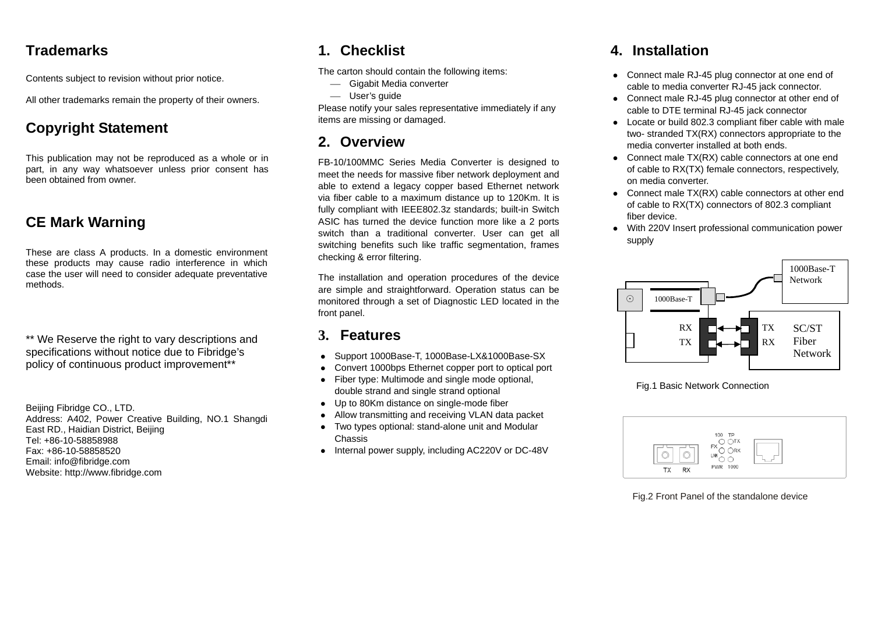### **Trademarks**

Contents subject to revision without prior notice.

All other trademarks remain the property of their owners.

# **Copyright Statement**

This publication may not be reproduced as a whole or in part, in any way whatsoever unless prior consent has been obtained from owner.

## **CE Mark Warning**

These are class A products. In a domestic environment these products may cause radio interference in which case the user will need to consider adequate preventative methods.

\*\* We Reserve the right to vary descriptions and specifications without notice due to Fibridge's policy of continuous product improvement\*\*

Beijing Fibridge CO., LTD. Address: A402, Power Creative Building, NO.1 Shangdi East RD., Haidian District, Beijing Tel: +86-10-58858988 Fax: +86-10-58858520 Email: info@fibridge.com Website: http://www.fibridge.com

## **1. Checklist**

The carton should contain the following items:

- Gigabit Media converter
- <sup>⎯</sup> User's guide

Please notify your sales representative immediately if any items are missing or damaged.

## **2. Overview**

FB-10/100MMC Series Media Converter is designed to meet the needs for massive fiber network deployment and able to extend a legacy copper based Ethernet network via fiber cable to a maximum distance up to 120Km. It is fully compliant with IEEE802.3z standards; built-in Switch ASIC has turned the device function more like a 2 ports switch than a traditional converter. User can get all switching benefits such like traffic segmentation, frames checking & error filtering.

The installation and operation procedures of the device are simple and straightforward. Operation status can be monitored through a set of Diagnostic LED located in the front panel.

### **3. Features**

- $\bullet$ Support 1000Base-T, 1000Base-LX&1000Base-SX
- $\bullet$ Convert 1000bps Ethernet copper port to optical port
- $\bullet$  Fiber type: Multimode and single mode optional, double strand and single strand optional
- $\bullet$ Up to 80Km distance on single-mode fiber
- $\bullet$ Allow transmitting and receiving VLAN data packet
- $\bullet$  Two types optional: stand-alone unit and Modular Chassis
- Internal power supply, including AC220V or DC-48V

## **4. Installation**

- Connect male RJ-45 plug connector at one end of cable to media converter RJ-45 jack connector.
- Connect male RJ-45 plug connector at other end of cable to DTE terminal RJ-45 jack connector
- Locate or build 802.3 compliant fiber cable with male two- stranded TX(RX) connectors appropriate to the media converter installed at both ends.
- Connect male  $TX(RX)$  cable connectors at one end of cable to RX(TX) female connectors, respectively, on media converter.
- Connect male  $TX(RX)$  cable connectors at other end of cable to RX(TX) connectors of 802.3 compliant fiber device.
- With 220V Insert professional communication power supply



Fig.1 Basic Network Connection



Fig.2 Front Panel of the standalone device